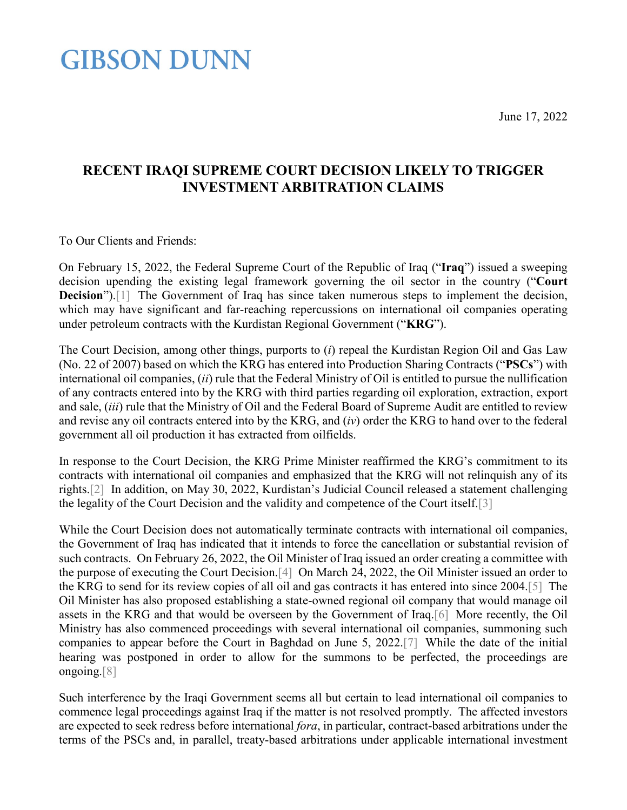<span id="page-0-5"></span><span id="page-0-3"></span>June 17, 2022

### **GIBSON DUNN**

### **RECENT IRAQI SUPREME COURT DECISION LIKELY TO TRIGGER INVESTMENT ARBITRATION CLAIMS**

<span id="page-0-0"></span>To Our Clients and Friends:

<span id="page-0-1"></span>On February 15, 2022, the Federal Supreme Court of the Republic of Iraq ("**Iraq**") issued a sweeping decision upending the existing legal framework governing the oil sector in the country ("**Court Decision**").<sup>[1]</sup> The Government of Iraq has since taken numerous steps to implement the decision, which may have significant and far-reaching repercussions on international oil companies operating under petroleum contracts with the Kurdistan Regional Government ("**KRG**").

The Court Decision, among other things, purports to (*i*) repeal the Kurdistan Region Oil and Gas Law (No. 22 of 2007) based on which the KRG has entered into Production Sharing Contracts ("**PSCs**") with international oil companies, (*ii*) rule that the Federal Ministry of Oil is entitled to pursue the nullification of any contracts entered into by the KRG with third parties regarding oil exploration, extraction, export and sale, (*iii*) rule that the Ministry of Oil and the Federal Board of Supreme Audit are entitled to review and revise any oil contracts entered into by the KRG, and (*iv*) order the KRG to hand over to the federal government all oil production it has extracted from oilfields.

<span id="page-0-2"></span>In response to the Court Decision, the KRG Prime Minister reaffirmed the KRG's commitment to its contracts with international oil companies and emphasized that the KRG will not relinquish any of its rights[.\[2\]](#page-2-1) In addition, on May 30, 2022, Kurdistan's Judicial Council released a statement challenging the legality of the Court Decision and the validity and competence of the Court itself[.\[3\]](#page-2-2)

<span id="page-0-6"></span><span id="page-0-4"></span>While the Court Decision does not automatically terminate contracts with international oil companies, the Government of Iraq has indicated that it intends to force the cancellation or substantial revision of such contracts. On February 26, 2022, the Oil Minister of Iraq issued an order creating a committee with the purpose of executing the Court Decision[.\[4\]](#page-0-0) On March 24, 2022, the Oil Minister issued an order to the KRG to send for its review copies of all oil and gas contracts it has entered into since 2004[.\[5\]](#page-2-3) The Oil Minister has also proposed establishing a state-owned regional oil company that would manage oil assets in the KRG and that would be overseen by the Government of Iraq[.\[6\]](#page-2-4) More recently, the Oil Ministry has also commenced proceedings with several international oil companies, summoning such companies to appear before the Court in Baghdad on June 5, 2022[.\[7\]](#page-2-5) While the date of the initial hearing was postponed in order to allow for the summons to be perfected, the proceedings are ongoing[.\[8\]](#page-2-6)

<span id="page-0-8"></span><span id="page-0-7"></span>Such interference by the Iraqi Government seems all but certain to lead international oil companies to commence legal proceedings against Iraq if the matter is not resolved promptly. The affected investors are expected to seek redress before international *fora*, in particular, contract-based arbitrations under the terms of the PSCs and, in parallel, treaty-based arbitrations under applicable international investment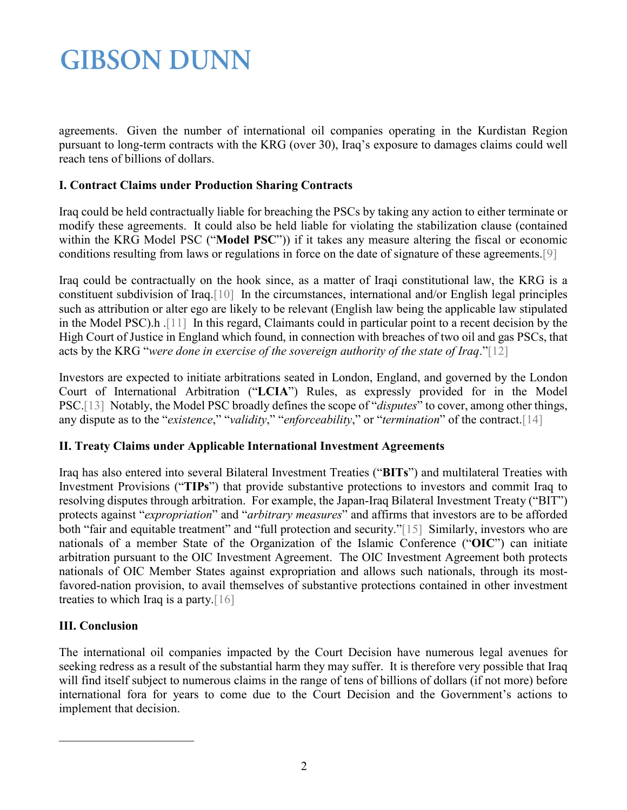# **GIBSON DUNN**

agreements. Given the number of international oil companies operating in the Kurdistan Region pursuant to long-term contracts with the KRG (over 30), Iraq's exposure to damages claims could well reach tens of billions of dollars.

### **I. Contract Claims under Production Sharing Contracts**

Iraq could be held contractually liable for breaching the PSCs by taking any action to either terminate or modify these agreements. It could also be held liable for violating the stabilization clause (contained within the KRG Model PSC ("**Model PSC**")) if it takes any measure altering the fiscal or economic conditions resulting from laws or regulations in force on the date of signature of these agreements[.\[9\]](#page-2-7)

<span id="page-1-2"></span><span id="page-1-1"></span><span id="page-1-0"></span>Iraq could be contractually on the hook since, as a matter of Iraqi constitutional law, the KRG is a constituent subdivision of Iraq[.\[10\]](#page-2-8) In the circumstances, international and/or English legal principles such as attribution or alter ego are likely to be relevant (English law being the applicable law stipulated in the Model PSC).h [.\[11\]](#page-2-9) In this regard, Claimants could in particular point to a recent decision by the High Court of Justice in England which found, in connection with breaches of two oil and gas PSCs, that acts by the KRG "*were done in exercise of the sovereign authority of the state of Iraq*.["\[12\]](#page-2-10)

<span id="page-1-4"></span><span id="page-1-3"></span>Investors are expected to initiate arbitrations seated in London, England, and governed by the London Court of International Arbitration ("**LCIA**") Rules, as expressly provided for in the Model PSC[.\[13\]](#page-2-11) Notably, the Model PSC broadly defines the scope of "*disputes*" to cover, among other things, any dispute as to the "*existence*," "*validity*," "*enforceability*," or "*termination*" of the contract[.\[14\]](#page-2-12)

#### <span id="page-1-5"></span>**II. Treaty Claims under Applicable International Investment Agreements**

<span id="page-1-6"></span>Iraq has also entered into several Bilateral Investment Treaties ("**BITs**") and multilateral Treaties with Investment Provisions ("**TIPs**") that provide substantive protections to investors and commit Iraq to resolving disputes through arbitration. For example, the Japan-Iraq Bilateral Investment Treaty ("BIT") protects against "*expropriation*" and "*arbitrary measures*" and affirms that investors are to be afforded both "fair and equitable treatment" and "full protection and security.["\[15\]](#page-3-0) Similarly, investors who are nationals of a member State of the Organization of the Islamic Conference ("**OIC**") can initiate arbitration pursuant to the OIC Investment Agreement. The OIC Investment Agreement both protects nationals of OIC Member States against expropriation and allows such nationals, through its mostfavored-nation provision, to avail themselves of substantive protections contained in other investment treaties to which Iraq is a party[.\[16\]](#page-3-1)

#### <span id="page-1-7"></span>**III. Conclusion**

The international oil companies impacted by the Court Decision have numerous legal avenues for seeking redress as a result of the substantial harm they may suffer. It is therefore very possible that Iraq will find itself subject to numerous claims in the range of tens of billions of dollars (if not more) before international fora for years to come due to the Court Decision and the Government's actions to implement that decision.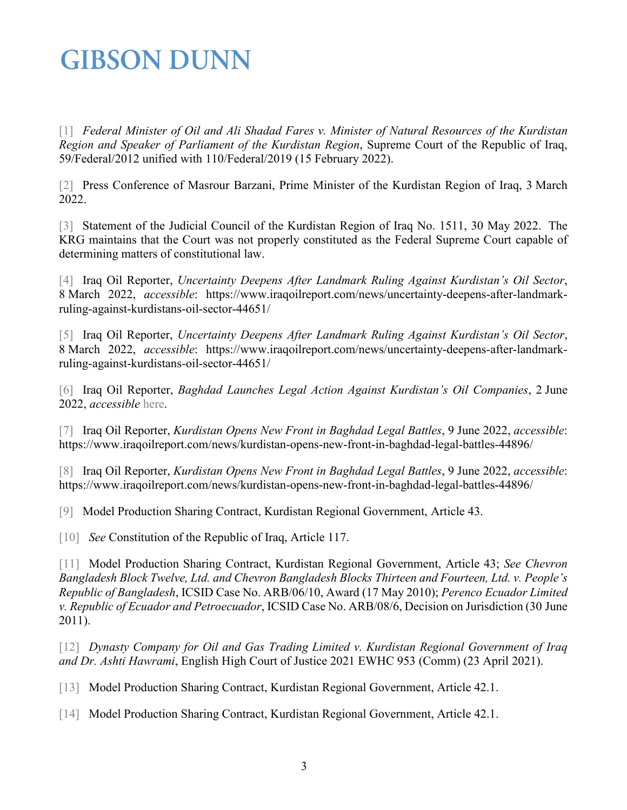# **GIBSON DUNN**

<span id="page-2-0"></span>[\[1\]](#page-0-1) *Federal Minister of Oil and Ali Shadad Fares v. Minister of Natural Resources of the Kurdistan Region and Speaker of Parliament of the Kurdistan Region*, Supreme Court of the Republic of Iraq, 59/Federal/2012 unified with 110/Federal/2019 (15 February 2022).

<span id="page-2-1"></span>[\[2\]](#page-0-2) Press Conference of Masrour Barzani, Prime Minister of the Kurdistan Region of Iraq, 3 March 2022.

<span id="page-2-2"></span>[\[3\]](#page-0-3) Statement of the Judicial Council of the Kurdistan Region of Iraq No. 1511, 30 May 2022. The KRG maintains that the Court was not properly constituted as the Federal Supreme Court capable of determining matters of constitutional law.

[\[4\]](#page-0-4) Iraq Oil Reporter, *Uncertainty Deepens After Landmark Ruling Against Kurdistan's Oil Sector*, 8 March 2022, *accessible*: https://www.iraqoilreport.com/news/uncertainty-deepens-after-landmarkruling-against-kurdistans-oil-sector-44651/

<span id="page-2-3"></span>[\[5\]](#page-0-5) Iraq Oil Reporter, *Uncertainty Deepens After Landmark Ruling Against Kurdistan's Oil Sector*, 8 March 2022, *accessible*: https://www.iraqoilreport.com/news/uncertainty-deepens-after-landmarkruling-against-kurdistans-oil-sector-44651/

<span id="page-2-4"></span>[\[6\]](#page-0-6) Iraq Oil Reporter, *Baghdad Launches Legal Action Against Kurdistan's Oil Companies*, 2 June 2022, *accessible* [here.](https://www.iraqoilreport.com/news/baghdad-launches-legal-action-against-kurdistans-oil-companies-44874/#:%7E:text=Iraq%E2%80%99s%20Oil%20Ministry%20is%20initiating,Regional%20Government%E2%80%99s%20independent%20oil%20sector)

<span id="page-2-5"></span>[\[7\]](#page-0-7) Iraq Oil Reporter, *Kurdistan Opens New Front in Baghdad Legal Battles*, 9 June 2022, *accessible*: https://www.iraqoilreport.com/news/kurdistan-opens-new-front-in-baghdad-legal-battles-44896/

<span id="page-2-6"></span>[\[8\]](#page-0-8) Iraq Oil Reporter, *Kurdistan Opens New Front in Baghdad Legal Battles*, 9 June 2022, *accessible*: https://www.iraqoilreport.com/news/kurdistan-opens-new-front-in-baghdad-legal-battles-44896/

<span id="page-2-8"></span><span id="page-2-7"></span>[\[9\]](#page-1-0) Model Production Sharing Contract, Kurdistan Regional Government, Article 43.

<span id="page-2-9"></span>[\[10\]](#page-1-1) *See* Constitution of the Republic of Iraq, Article 117.

[\[11\]](#page-1-2) Model Production Sharing Contract, Kurdistan Regional Government, Article 43; *See Chevron Bangladesh Block Twelve, Ltd. and Chevron Bangladesh Blocks Thirteen and Fourteen, Ltd. v. People's Republic of Bangladesh*, ICSID Case No. ARB/06/10, Award (17 May 2010); *Perenco Ecuador Limited v. Republic of Ecuador and Petroecuador*, ICSID Case No. ARB/08/6, Decision on Jurisdiction (30 June 2011).

<span id="page-2-10"></span>[\[12\]](#page-1-3) *Dynasty Company for Oil and Gas Trading Limited v. Kurdistan Regional Government of Iraq and Dr. Ashti Hawrami*, English High Court of Justice 2021 EWHC 953 (Comm) (23 April 2021).

<span id="page-2-11"></span>[\[13\]](#page-1-4) Model Production Sharing Contract, Kurdistan Regional Government, Article 42.1.

<span id="page-2-12"></span>[\[14\]](#page-1-5) Model Production Sharing Contract, Kurdistan Regional Government, Article 42.1.